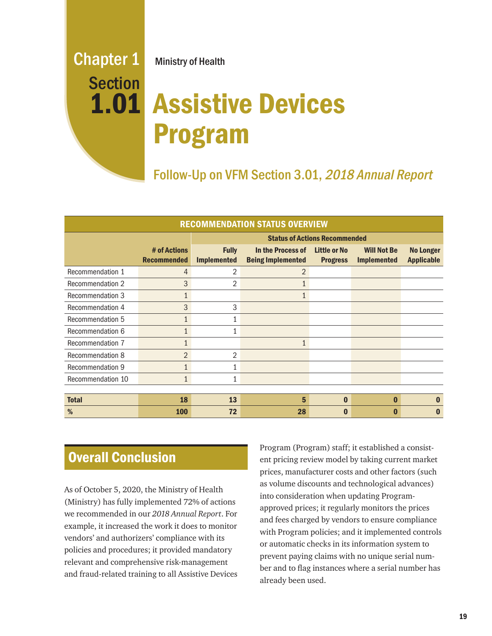# Chapter 1 Ministry of Health

# Assistive Devices 1.01 Program **Section**

Follow-Up on VFM Section 3.01, 2018 Annual Report

| <b>RECOMMENDATION STATUS OVERVIEW</b> |                                    |                                      |                                               |                                        |                                          |                                       |
|---------------------------------------|------------------------------------|--------------------------------------|-----------------------------------------------|----------------------------------------|------------------------------------------|---------------------------------------|
|                                       |                                    | <b>Status of Actions Recommended</b> |                                               |                                        |                                          |                                       |
|                                       | # of Actions<br><b>Recommended</b> | <b>Fully</b><br><b>Implemented</b>   | In the Process of<br><b>Being Implemented</b> | <b>Little or No</b><br><b>Progress</b> | <b>Will Not Be</b><br><b>Implemented</b> | <b>No Longer</b><br><b>Applicable</b> |
| Recommendation 1                      | 4                                  | 2                                    | $\overline{2}$                                |                                        |                                          |                                       |
| Recommendation 2                      | 3                                  | 2                                    | 1                                             |                                        |                                          |                                       |
| Recommendation 3                      | $\mathbf{1}$                       |                                      | 1                                             |                                        |                                          |                                       |
| Recommendation 4                      | 3                                  | 3                                    |                                               |                                        |                                          |                                       |
| Recommendation 5                      | $\mathbf{1}$                       | $\mathbf{1}$                         |                                               |                                        |                                          |                                       |
| Recommendation 6                      | 1                                  | 1                                    |                                               |                                        |                                          |                                       |
| Recommendation 7                      | $\mathbf{1}$                       |                                      | $\mathbf{1}$                                  |                                        |                                          |                                       |
| Recommendation 8                      | $\overline{2}$                     | 2                                    |                                               |                                        |                                          |                                       |
| <b>Recommendation 9</b>               | $\mathbf{1}$                       | 1                                    |                                               |                                        |                                          |                                       |
| Recommendation 10                     | $\mathbf{1}$                       | $\mathbf{1}$                         |                                               |                                        |                                          |                                       |
|                                       |                                    |                                      |                                               |                                        |                                          |                                       |
| <b>Total</b>                          | 18                                 | 13                                   | 5                                             | $\bf{0}$                               | $\bf{0}$                                 | O                                     |
| %                                     | <b>100</b>                         | 72                                   | 28                                            | 0                                      | $\Omega$                                 | O                                     |

# Overall Conclusion

As of October 5, 2020, the Ministry of Health (Ministry) has fully implemented 72% of actions we recommended in our *2018 Annual Report*. For example, it increased the work it does to monitor vendors' and authorizers' compliance with its policies and procedures; it provided mandatory relevant and comprehensive risk-management and fraud-related training to all Assistive Devices Program (Program) staff; it established a consistent pricing review model by taking current market prices, manufacturer costs and other factors (such as volume discounts and technological advances) into consideration when updating Programapproved prices; it regularly monitors the prices and fees charged by vendors to ensure compliance with Program policies; and it implemented controls or automatic checks in its information system to prevent paying claims with no unique serial number and to flag instances where a serial number has already been used.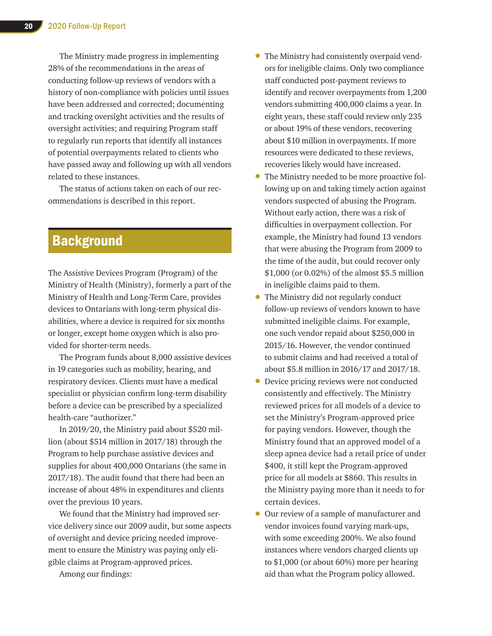The Ministry made progress in implementing 28% of the recommendations in the areas of conducting follow-up reviews of vendors with a history of non-compliance with policies until issues have been addressed and corrected; documenting and tracking oversight activities and the results of oversight activities; and requiring Program staff to regularly run reports that identify all instances of potential overpayments related to clients who have passed away and following up with all vendors related to these instances.

The status of actions taken on each of our recommendations is described in this report.

# **Background**

The Assistive Devices Program (Program) of the Ministry of Health (Ministry), formerly a part of the Ministry of Health and Long-Term Care, provides devices to Ontarians with long-term physical disabilities, where a device is required for six months or longer, except home oxygen which is also provided for shorter-term needs.

The Program funds about 8,000 assistive devices in 19 categories such as mobility, hearing, and respiratory devices. Clients must have a medical specialist or physician confirm long-term disability before a device can be prescribed by a specialized health-care "authorizer."

In 2019/20, the Ministry paid about \$520 million (about \$514 million in 2017/18) through the Program to help purchase assistive devices and supplies for about 400,000 Ontarians (the same in 2017/18). The audit found that there had been an increase of about 48% in expenditures and clients over the previous 10 years.

We found that the Ministry had improved service delivery since our 2009 audit, but some aspects of oversight and device pricing needed improvement to ensure the Ministry was paying only eligible claims at Program-approved prices.

Among our findings:

- The Ministry had consistently overpaid vendors for ineligible claims. Only two compliance staff conducted post-payment reviews to identify and recover overpayments from 1,200 vendors submitting 400,000 claims a year. In eight years, these staff could review only 235 or about 19% of these vendors, recovering about \$10 million in overpayments. If more resources were dedicated to these reviews, recoveries likely would have increased.
- The Ministry needed to be more proactive following up on and taking timely action against vendors suspected of abusing the Program. Without early action, there was a risk of difficulties in overpayment collection. For example, the Ministry had found 13 vendors that were abusing the Program from 2009 to the time of the audit, but could recover only \$1,000 (or 0.02%) of the almost \$5.5 million in ineligible claims paid to them.
- The Ministry did not regularly conduct follow-up reviews of vendors known to have submitted ineligible claims. For example, one such vendor repaid about \$250,000 in 2015/16. However, the vendor continued to submit claims and had received a total of about \$5.8 million in 2016/17 and 2017/18.
- Device pricing reviews were not conducted consistently and effectively. The Ministry reviewed prices for all models of a device to set the Ministry's Program-approved price for paying vendors. However, though the Ministry found that an approved model of a sleep apnea device had a retail price of under \$400, it still kept the Program-approved price for all models at \$860. This results in the Ministry paying more than it needs to for certain devices.
- Our review of a sample of manufacturer and vendor invoices found varying mark-ups, with some exceeding 200%. We also found instances where vendors charged clients up to \$1,000 (or about 60%) more per hearing aid than what the Program policy allowed.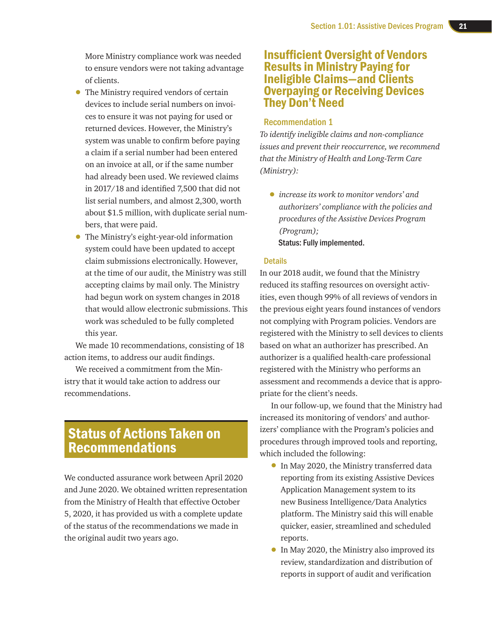More Ministry compliance work was needed to ensure vendors were not taking advantage of clients.

- The Ministry required vendors of certain devices to include serial numbers on invoices to ensure it was not paying for used or returned devices. However, the Ministry's system was unable to confirm before paying a claim if a serial number had been entered on an invoice at all, or if the same number had already been used. We reviewed claims in 2017/18 and identified 7,500 that did not list serial numbers, and almost 2,300, worth about \$1.5 million, with duplicate serial numbers, that were paid.
- The Ministry's eight-year-old information system could have been updated to accept claim submissions electronically. However, at the time of our audit, the Ministry was still accepting claims by mail only. The Ministry had begun work on system changes in 2018 that would allow electronic submissions. This work was scheduled to be fully completed this year.

We made 10 recommendations, consisting of 18 action items, to address our audit findings.

We received a commitment from the Ministry that it would take action to address our recommendations.

## Status of Actions Taken on Recommendations

We conducted assurance work between April 2020 and June 2020. We obtained written representation from the Ministry of Health that effective October 5, 2020, it has provided us with a complete update of the status of the recommendations we made in the original audit two years ago.

### Insufficient Oversight of Vendors Results in Ministry Paying for Ineligible Claims—and Clients Overpaying or Receiving Devices They Don't Need

#### Recommendation 1

*To identify ineligible claims and non-compliance issues and prevent their reoccurrence, we recommend that the Ministry of Health and Long-Term Care (Ministry):*

• *increase its work to monitor vendors' and authorizers' compliance with the policies and procedures of the Assistive Devices Program (Program);* Status: Fully implemented.

#### **Details**

In our 2018 audit, we found that the Ministry reduced its staffing resources on oversight activities, even though 99% of all reviews of vendors in the previous eight years found instances of vendors not complying with Program policies. Vendors are registered with the Ministry to sell devices to clients based on what an authorizer has prescribed. An authorizer is a qualified health-care professional registered with the Ministry who performs an assessment and recommends a device that is appropriate for the client's needs.

In our follow-up, we found that the Ministry had increased its monitoring of vendors' and authorizers' compliance with the Program's policies and procedures through improved tools and reporting, which included the following:

- In May 2020, the Ministry transferred data reporting from its existing Assistive Devices Application Management system to its new Business Intelligence/Data Analytics platform. The Ministry said this will enable quicker, easier, streamlined and scheduled reports.
- In May 2020, the Ministry also improved its review, standardization and distribution of reports in support of audit and verification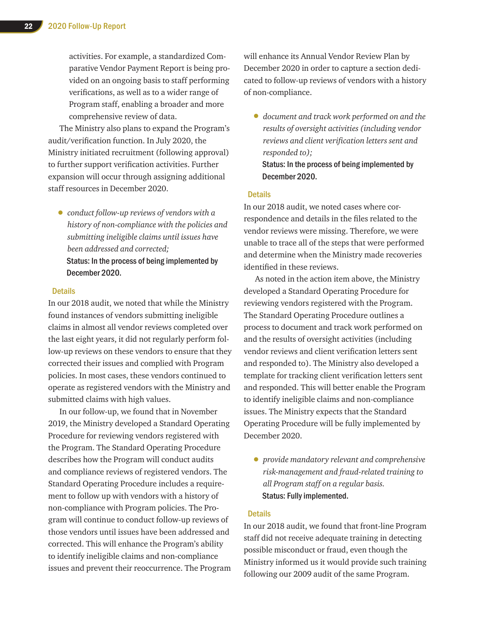activities. For example, a standardized Comparative Vendor Payment Report is being provided on an ongoing basis to staff performing verifications, as well as to a wider range of Program staff, enabling a broader and more comprehensive review of data.

The Ministry also plans to expand the Program's audit/verification function. In July 2020, the Ministry initiated recruitment (following approval) to further support verification activities. Further expansion will occur through assigning additional staff resources in December 2020.

• *conduct follow-up reviews of vendors with a history of non-compliance with the policies and submitting ineligible claims until issues have been addressed and corrected;*  Status: In the process of being implemented by December 2020.

#### Details

In our 2018 audit, we noted that while the Ministry found instances of vendors submitting ineligible claims in almost all vendor reviews completed over the last eight years, it did not regularly perform follow-up reviews on these vendors to ensure that they corrected their issues and complied with Program policies. In most cases, these vendors continued to operate as registered vendors with the Ministry and submitted claims with high values.

In our follow-up, we found that in November 2019, the Ministry developed a Standard Operating Procedure for reviewing vendors registered with the Program. The Standard Operating Procedure describes how the Program will conduct audits and compliance reviews of registered vendors. The Standard Operating Procedure includes a requirement to follow up with vendors with a history of non-compliance with Program policies. The Program will continue to conduct follow-up reviews of those vendors until issues have been addressed and corrected. This will enhance the Program's ability to identify ineligible claims and non-compliance issues and prevent their reoccurrence. The Program will enhance its Annual Vendor Review Plan by December 2020 in order to capture a section dedicated to follow-up reviews of vendors with a history of non-compliance.

• *document and track work performed on and the results of oversight activities (including vendor reviews and client verification letters sent and responded to);*

#### Status: In the process of being implemented by December 2020.

#### **Details**

In our 2018 audit, we noted cases where correspondence and details in the files related to the vendor reviews were missing. Therefore, we were unable to trace all of the steps that were performed and determine when the Ministry made recoveries identified in these reviews.

As noted in the action item above, the Ministry developed a Standard Operating Procedure for reviewing vendors registered with the Program. The Standard Operating Procedure outlines a process to document and track work performed on and the results of oversight activities (including vendor reviews and client verification letters sent and responded to). The Ministry also developed a template for tracking client verification letters sent and responded. This will better enable the Program to identify ineligible claims and non-compliance issues. The Ministry expects that the Standard Operating Procedure will be fully implemented by December 2020.

• *provide mandatory relevant and comprehensive risk-management and fraud-related training to all Program staff on a regular basis.* Status: Fully implemented.

#### **Details**

In our 2018 audit, we found that front-line Program staff did not receive adequate training in detecting possible misconduct or fraud, even though the Ministry informed us it would provide such training following our 2009 audit of the same Program.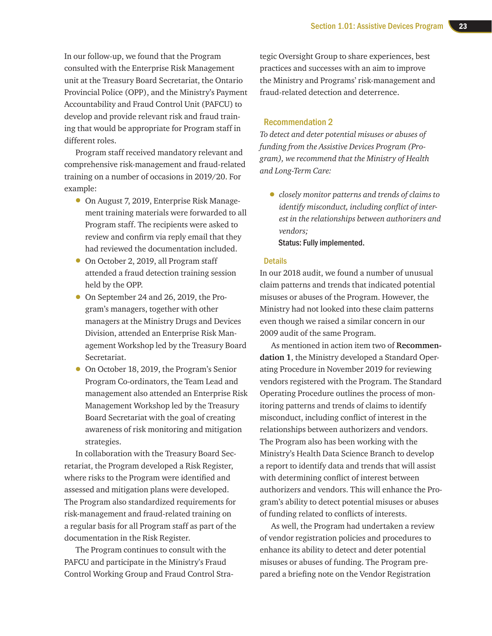In our follow-up, we found that the Program consulted with the Enterprise Risk Management unit at the Treasury Board Secretariat, the Ontario Provincial Police (OPP), and the Ministry's Payment Accountability and Fraud Control Unit (PAFCU) to develop and provide relevant risk and fraud training that would be appropriate for Program staff in different roles.

Program staff received mandatory relevant and comprehensive risk-management and fraud-related training on a number of occasions in 2019/20. For example:

- On August 7, 2019, Enterprise Risk Management training materials were forwarded to all Program staff. The recipients were asked to review and confirm via reply email that they had reviewed the documentation included.
- On October 2, 2019, all Program staff attended a fraud detection training session held by the OPP.
- On September 24 and 26, 2019, the Program's managers, together with other managers at the Ministry Drugs and Devices Division, attended an Enterprise Risk Management Workshop led by the Treasury Board Secretariat.
- On October 18, 2019, the Program's Senior Program Co-ordinators, the Team Lead and management also attended an Enterprise Risk Management Workshop led by the Treasury Board Secretariat with the goal of creating awareness of risk monitoring and mitigation strategies.

In collaboration with the Treasury Board Secretariat, the Program developed a Risk Register, where risks to the Program were identified and assessed and mitigation plans were developed. The Program also standardized requirements for risk-management and fraud-related training on a regular basis for all Program staff as part of the documentation in the Risk Register.

The Program continues to consult with the PAFCU and participate in the Ministry's Fraud Control Working Group and Fraud Control Stra-

tegic Oversight Group to share experiences, best practices and successes with an aim to improve the Ministry and Programs' risk-management and fraud-related detection and deterrence.

#### Recommendation 2

*To detect and deter potential misuses or abuses of funding from the Assistive Devices Program (Program), we recommend that the Ministry of Health and Long-Term Care:*

• *closely monitor patterns and trends of claims to identify misconduct, including conflict of interest in the relationships between authorizers and vendors;* Status: Fully implemented.

#### **Details**

In our 2018 audit, we found a number of unusual claim patterns and trends that indicated potential misuses or abuses of the Program. However, the Ministry had not looked into these claim patterns even though we raised a similar concern in our 2009 audit of the same Program.

As mentioned in action item two of **Recommendation 1**, the Ministry developed a Standard Operating Procedure in November 2019 for reviewing vendors registered with the Program. The Standard Operating Procedure outlines the process of monitoring patterns and trends of claims to identify misconduct, including conflict of interest in the relationships between authorizers and vendors. The Program also has been working with the Ministry's Health Data Science Branch to develop a report to identify data and trends that will assist with determining conflict of interest between authorizers and vendors. This will enhance the Program's ability to detect potential misuses or abuses of funding related to conflicts of interests.

As well, the Program had undertaken a review of vendor registration policies and procedures to enhance its ability to detect and deter potential misuses or abuses of funding. The Program prepared a briefing note on the Vendor Registration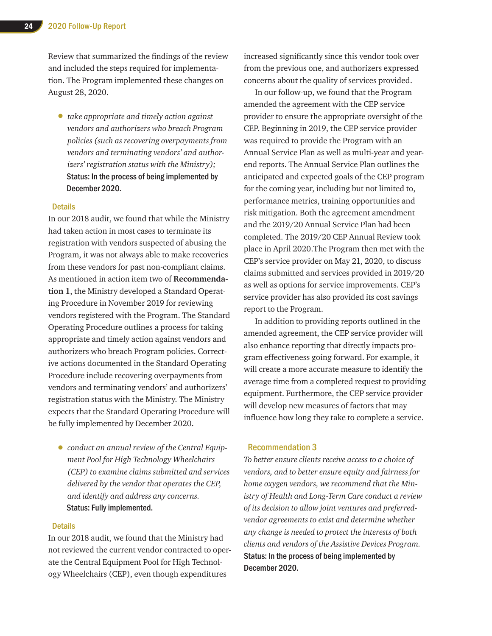Review that summarized the findings of the review and included the steps required for implementation. The Program implemented these changes on August 28, 2020.

• *take appropriate and timely action against vendors and authorizers who breach Program policies (such as recovering overpayments from vendors and terminating vendors' and authorizers' registration status with the Ministry);*  Status: In the process of being implemented by December 2020.

#### **Details**

In our 2018 audit, we found that while the Ministry had taken action in most cases to terminate its registration with vendors suspected of abusing the Program, it was not always able to make recoveries from these vendors for past non-compliant claims. As mentioned in action item two of **Recommendation 1**, the Ministry developed a Standard Operating Procedure in November 2019 for reviewing vendors registered with the Program. The Standard Operating Procedure outlines a process for taking appropriate and timely action against vendors and authorizers who breach Program policies. Corrective actions documented in the Standard Operating Procedure include recovering overpayments from vendors and terminating vendors' and authorizers' registration status with the Ministry. The Ministry expects that the Standard Operating Procedure will be fully implemented by December 2020.

• *conduct an annual review of the Central Equipment Pool for High Technology Wheelchairs (CEP) to examine claims submitted and services delivered by the vendor that operates the CEP, and identify and address any concerns.*  Status: Fully implemented.

#### **Details**

In our 2018 audit, we found that the Ministry had not reviewed the current vendor contracted to operate the Central Equipment Pool for High Technology Wheelchairs (CEP), even though expenditures

increased significantly since this vendor took over from the previous one, and authorizers expressed concerns about the quality of services provided.

In our follow-up, we found that the Program amended the agreement with the CEP service provider to ensure the appropriate oversight of the CEP. Beginning in 2019, the CEP service provider was required to provide the Program with an Annual Service Plan as well as multi-year and yearend reports. The Annual Service Plan outlines the anticipated and expected goals of the CEP program for the coming year, including but not limited to, performance metrics, training opportunities and risk mitigation. Both the agreement amendment and the 2019/20 Annual Service Plan had been completed. The 2019/20 CEP Annual Review took place in April 2020.The Program then met with the CEP's service provider on May 21, 2020, to discuss claims submitted and services provided in 2019/20 as well as options for service improvements. CEP's service provider has also provided its cost savings report to the Program.

In addition to providing reports outlined in the amended agreement, the CEP service provider will also enhance reporting that directly impacts program effectiveness going forward. For example, it will create a more accurate measure to identify the average time from a completed request to providing equipment. Furthermore, the CEP service provider will develop new measures of factors that may influence how long they take to complete a service.

#### Recommendation 3

*To better ensure clients receive access to a choice of vendors, and to better ensure equity and fairness for home oxygen vendors, we recommend that the Ministry of Health and Long-Term Care conduct a review of its decision to allow joint ventures and preferredvendor agreements to exist and determine whether any change is needed to protect the interests of both clients and vendors of the Assistive Devices Program.*  Status: In the process of being implemented by December 2020.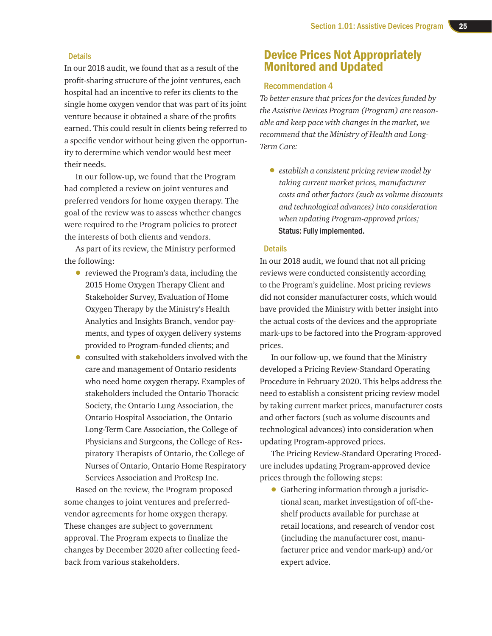#### **Details**

In our 2018 audit, we found that as a result of the profit-sharing structure of the joint ventures, each hospital had an incentive to refer its clients to the single home oxygen vendor that was part of its joint venture because it obtained a share of the profits earned. This could result in clients being referred to a specific vendor without being given the opportunity to determine which vendor would best meet their needs.

In our follow-up, we found that the Program had completed a review on joint ventures and preferred vendors for home oxygen therapy. The goal of the review was to assess whether changes were required to the Program policies to protect the interests of both clients and vendors.

As part of its review, the Ministry performed the following:

- reviewed the Program's data, including the 2015 Home Oxygen Therapy Client and Stakeholder Survey, Evaluation of Home Oxygen Therapy by the Ministry's Health Analytics and Insights Branch, vendor payments, and types of oxygen delivery systems provided to Program-funded clients; and
- consulted with stakeholders involved with the care and management of Ontario residents who need home oxygen therapy. Examples of stakeholders included the Ontario Thoracic Society, the Ontario Lung Association, the Ontario Hospital Association, the Ontario Long-Term Care Association, the College of Physicians and Surgeons, the College of Respiratory Therapists of Ontario, the College of Nurses of Ontario, Ontario Home Respiratory Services Association and ProResp Inc.

Based on the review, the Program proposed some changes to joint ventures and preferredvendor agreements for home oxygen therapy. These changes are subject to government approval. The Program expects to finalize the changes by December 2020 after collecting feedback from various stakeholders.

### Device Prices Not Appropriately Monitored and Updated

#### Recommendation 4

*To better ensure that prices for the devices funded by the Assistive Devices Program (Program) are reasonable and keep pace with changes in the market, we recommend that the Ministry of Health and Long-Term Care:*

• *establish a consistent pricing review model by taking current market prices, manufacturer costs and other factors (such as volume discounts and technological advances) into consideration when updating Program-approved prices;* Status: Fully implemented.

#### **Details**

In our 2018 audit, we found that not all pricing reviews were conducted consistently according to the Program's guideline. Most pricing reviews did not consider manufacturer costs, which would have provided the Ministry with better insight into the actual costs of the devices and the appropriate mark-ups to be factored into the Program-approved prices.

In our follow-up, we found that the Ministry developed a Pricing Review-Standard Operating Procedure in February 2020. This helps address the need to establish a consistent pricing review model by taking current market prices, manufacturer costs and other factors (such as volume discounts and technological advances) into consideration when updating Program-approved prices.

The Pricing Review-Standard Operating Procedure includes updating Program-approved device prices through the following steps:

• Gathering information through a jurisdictional scan, market investigation of off-theshelf products available for purchase at retail locations, and research of vendor cost (including the manufacturer cost, manufacturer price and vendor mark-up) and/or expert advice.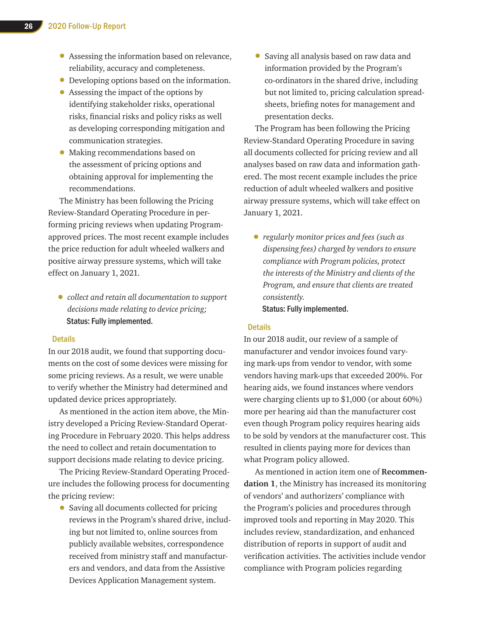- Assessing the information based on relevance, reliability, accuracy and completeness.
- Developing options based on the information.
- Assessing the impact of the options by identifying stakeholder risks, operational risks, financial risks and policy risks as well as developing corresponding mitigation and communication strategies.
- Making recommendations based on the assessment of pricing options and obtaining approval for implementing the recommendations.

The Ministry has been following the Pricing Review-Standard Operating Procedure in performing pricing reviews when updating Programapproved prices. The most recent example includes the price reduction for adult wheeled walkers and positive airway pressure systems, which will take effect on January 1, 2021.

• *collect and retain all documentation to support decisions made relating to device pricing;*  Status: Fully implemented.

#### **Details**

In our 2018 audit, we found that supporting documents on the cost of some devices were missing for some pricing reviews. As a result, we were unable to verify whether the Ministry had determined and updated device prices appropriately.

As mentioned in the action item above, the Ministry developed a Pricing Review-Standard Operating Procedure in February 2020. This helps address the need to collect and retain documentation to support decisions made relating to device pricing.

The Pricing Review-Standard Operating Procedure includes the following process for documenting the pricing review:

• Saving all documents collected for pricing reviews in the Program's shared drive, including but not limited to, online sources from publicly available websites, correspondence received from ministry staff and manufacturers and vendors, and data from the Assistive Devices Application Management system.

• Saving all analysis based on raw data and information provided by the Program's co-ordinators in the shared drive, including but not limited to, pricing calculation spreadsheets, briefing notes for management and presentation decks.

The Program has been following the Pricing Review-Standard Operating Procedure in saving all documents collected for pricing review and all analyses based on raw data and information gathered. The most recent example includes the price reduction of adult wheeled walkers and positive airway pressure systems, which will take effect on January 1, 2021.

• *regularly monitor prices and fees (such as dispensing fees) charged by vendors to ensure compliance with Program policies, protect the interests of the Ministry and clients of the Program, and ensure that clients are treated consistently.*  Status: Fully implemented.

#### **Details**

In our 2018 audit, our review of a sample of manufacturer and vendor invoices found varying mark-ups from vendor to vendor, with some vendors having mark-ups that exceeded 200%. For hearing aids, we found instances where vendors were charging clients up to \$1,000 (or about 60%) more per hearing aid than the manufacturer cost even though Program policy requires hearing aids to be sold by vendors at the manufacturer cost. This resulted in clients paying more for devices than what Program policy allowed.

As mentioned in action item one of **Recommendation 1**, the Ministry has increased its monitoring of vendors' and authorizers' compliance with the Program's policies and procedures through improved tools and reporting in May 2020. This includes review, standardization, and enhanced distribution of reports in support of audit and verification activities. The activities include vendor compliance with Program policies regarding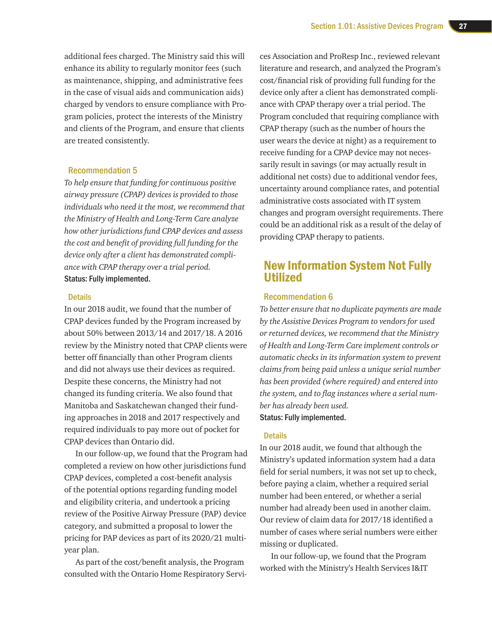additional fees charged. The Ministry said this will enhance its ability to regularly monitor fees (such as maintenance, shipping, and administrative fees in the case of visual aids and communication aids) charged by vendors to ensure compliance with Program policies, protect the interests of the Ministry and clients of the Program, and ensure that clients are treated consistently.

#### Recommendation 5

*To help ensure that funding for continuous positive airway pressure (CPAP) devices is provided to those individuals who need it the most, we recommend that the Ministry of Health and Long-Term Care analyze how other jurisdictions fund CPAP devices and assess the cost and benefit of providing full funding for the device only after a client has demonstrated compliance with CPAP therapy over a trial period.* Status: Fully implemented.

#### Details

In our 2018 audit, we found that the number of CPAP devices funded by the Program increased by about 50% between 2013/14 and 2017/18. A 2016 review by the Ministry noted that CPAP clients were better off financially than other Program clients and did not always use their devices as required. Despite these concerns, the Ministry had not changed its funding criteria. We also found that Manitoba and Saskatchewan changed their funding approaches in 2018 and 2017 respectively and required individuals to pay more out of pocket for CPAP devices than Ontario did.

In our follow-up, we found that the Program had completed a review on how other jurisdictions fund CPAP devices, completed a cost-benefit analysis of the potential options regarding funding model and eligibility criteria, and undertook a pricing review of the Positive Airway Pressure (PAP) device category, and submitted a proposal to lower the pricing for PAP devices as part of its 2020/21 multiyear plan.

As part of the cost/benefit analysis, the Program consulted with the Ontario Home Respiratory Servi-

ces Association and ProResp Inc., reviewed relevant literature and research, and analyzed the Program's cost/financial risk of providing full funding for the device only after a client has demonstrated compliance with CPAP therapy over a trial period. The Program concluded that requiring compliance with CPAP therapy (such as the number of hours the user wears the device at night) as a requirement to receive funding for a CPAP device may not necessarily result in savings (or may actually result in additional net costs) due to additional vendor fees, uncertainty around compliance rates, and potential administrative costs associated with IT system changes and program oversight requirements. There could be an additional risk as a result of the delay of providing CPAP therapy to patients.

### New Information System Not Fully Utilized

#### Recommendation 6

*To better ensure that no duplicate payments are made by the Assistive Devices Program to vendors for used or returned devices, we recommend that the Ministry of Health and Long-Term Care implement controls or automatic checks in its information system to prevent claims from being paid unless a unique serial number has been provided (where required) and entered into the system, and to flag instances where a serial number has already been used.* Status: Fully implemented.

#### **Details**

In our 2018 audit, we found that although the Ministry's updated information system had a data field for serial numbers, it was not set up to check, before paying a claim, whether a required serial number had been entered, or whether a serial number had already been used in another claim. Our review of claim data for 2017/18 identified a number of cases where serial numbers were either missing or duplicated.

In our follow-up, we found that the Program worked with the Ministry's Health Services I&IT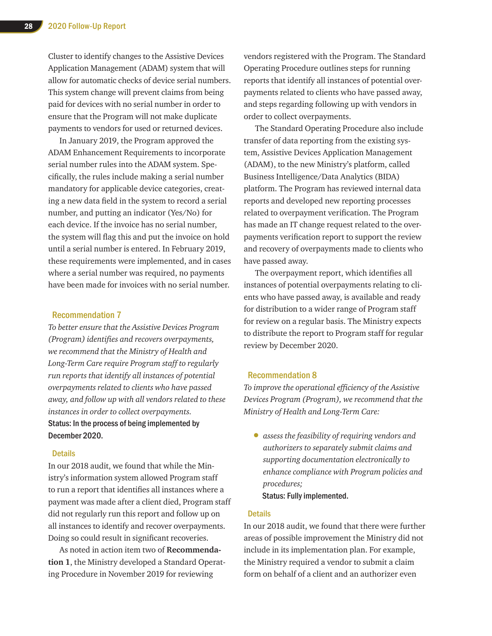Cluster to identify changes to the Assistive Devices Application Management (ADAM) system that will allow for automatic checks of device serial numbers. This system change will prevent claims from being paid for devices with no serial number in order to ensure that the Program will not make duplicate payments to vendors for used or returned devices.

In January 2019, the Program approved the ADAM Enhancement Requirements to incorporate serial number rules into the ADAM system. Specifically, the rules include making a serial number mandatory for applicable device categories, creating a new data field in the system to record a serial number, and putting an indicator (Yes/No) for each device. If the invoice has no serial number, the system will flag this and put the invoice on hold until a serial number is entered. In February 2019, these requirements were implemented, and in cases where a serial number was required, no payments have been made for invoices with no serial number.

#### Recommendation 7

*To better ensure that the Assistive Devices Program (Program) identifies and recovers overpayments, we recommend that the Ministry of Health and Long-Term Care require Program staff to regularly run reports that identify all instances of potential overpayments related to clients who have passed away, and follow up with all vendors related to these instances in order to collect overpayments.* Status: In the process of being implemented by December 2020.

#### Details

In our 2018 audit, we found that while the Ministry's information system allowed Program staff to run a report that identifies all instances where a payment was made after a client died, Program staff did not regularly run this report and follow up on all instances to identify and recover overpayments. Doing so could result in significant recoveries.

As noted in action item two of **Recommendation 1**, the Ministry developed a Standard Operating Procedure in November 2019 for reviewing

vendors registered with the Program. The Standard Operating Procedure outlines steps for running reports that identify all instances of potential overpayments related to clients who have passed away, and steps regarding following up with vendors in order to collect overpayments.

The Standard Operating Procedure also include transfer of data reporting from the existing system, Assistive Devices Application Management (ADAM), to the new Ministry's platform, called Business Intelligence/Data Analytics (BIDA) platform. The Program has reviewed internal data reports and developed new reporting processes related to overpayment verification. The Program has made an IT change request related to the overpayments verification report to support the review and recovery of overpayments made to clients who have passed away.

The overpayment report, which identifies all instances of potential overpayments relating to clients who have passed away, is available and ready for distribution to a wider range of Program staff for review on a regular basis. The Ministry expects to distribute the report to Program staff for regular review by December 2020.

#### Recommendation 8

*To improve the operational efficiency of the Assistive Devices Program (Program), we recommend that the Ministry of Health and Long-Term Care:*

• *assess the feasibility of requiring vendors and authorizers to separately submit claims and supporting documentation electronically to enhance compliance with Program policies and procedures;* Status: Fully implemented.

#### **Details**

In our 2018 audit, we found that there were further areas of possible improvement the Ministry did not include in its implementation plan. For example, the Ministry required a vendor to submit a claim form on behalf of a client and an authorizer even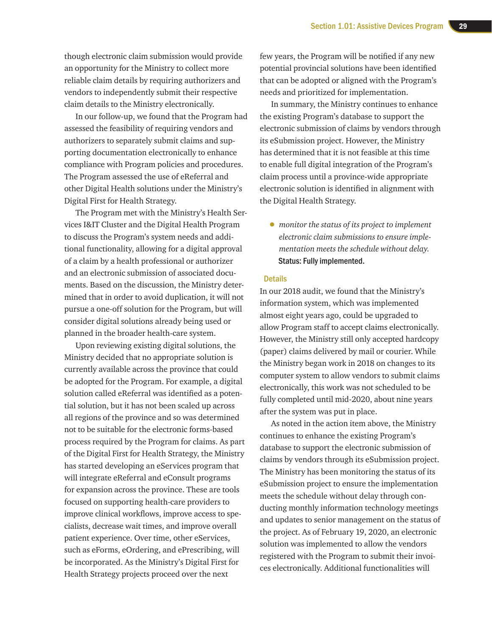though electronic claim submission would provide an opportunity for the Ministry to collect more reliable claim details by requiring authorizers and vendors to independently submit their respective claim details to the Ministry electronically.

In our follow-up, we found that the Program had assessed the feasibility of requiring vendors and authorizers to separately submit claims and supporting documentation electronically to enhance compliance with Program policies and procedures. The Program assessed the use of eReferral and other Digital Health solutions under the Ministry's Digital First for Health Strategy.

The Program met with the Ministry's Health Services I&IT Cluster and the Digital Health Program to discuss the Program's system needs and additional functionality, allowing for a digital approval of a claim by a health professional or authorizer and an electronic submission of associated documents. Based on the discussion, the Ministry determined that in order to avoid duplication, it will not pursue a one-off solution for the Program, but will consider digital solutions already being used or planned in the broader health-care system.

Upon reviewing existing digital solutions, the Ministry decided that no appropriate solution is currently available across the province that could be adopted for the Program. For example, a digital solution called eReferral was identified as a potential solution, but it has not been scaled up across all regions of the province and so was determined not to be suitable for the electronic forms-based process required by the Program for claims. As part of the Digital First for Health Strategy, the Ministry has started developing an eServices program that will integrate eReferral and eConsult programs for expansion across the province. These are tools focused on supporting health-care providers to improve clinical workflows, improve access to specialists, decrease wait times, and improve overall patient experience. Over time, other eServices, such as eForms, eOrdering, and ePrescribing, will be incorporated. As the Ministry's Digital First for Health Strategy projects proceed over the next

few years, the Program will be notified if any new potential provincial solutions have been identified that can be adopted or aligned with the Program's needs and prioritized for implementation.

In summary, the Ministry continues to enhance the existing Program's database to support the electronic submission of claims by vendors through its eSubmission project. However, the Ministry has determined that it is not feasible at this time to enable full digital integration of the Program's claim process until a province-wide appropriate electronic solution is identified in alignment with the Digital Health Strategy.

• *monitor the status of its project to implement electronic claim submissions to ensure implementation meets the schedule without delay.*  Status: Fully implemented.

#### **Details**

In our 2018 audit, we found that the Ministry's information system, which was implemented almost eight years ago, could be upgraded to allow Program staff to accept claims electronically. However, the Ministry still only accepted hardcopy (paper) claims delivered by mail or courier. While the Ministry began work in 2018 on changes to its computer system to allow vendors to submit claims electronically, this work was not scheduled to be fully completed until mid-2020, about nine years after the system was put in place.

As noted in the action item above, the Ministry continues to enhance the existing Program's database to support the electronic submission of claims by vendors through its eSubmission project. The Ministry has been monitoring the status of its eSubmission project to ensure the implementation meets the schedule without delay through conducting monthly information technology meetings and updates to senior management on the status of the project. As of February 19, 2020, an electronic solution was implemented to allow the vendors registered with the Program to submit their invoices electronically. Additional functionalities will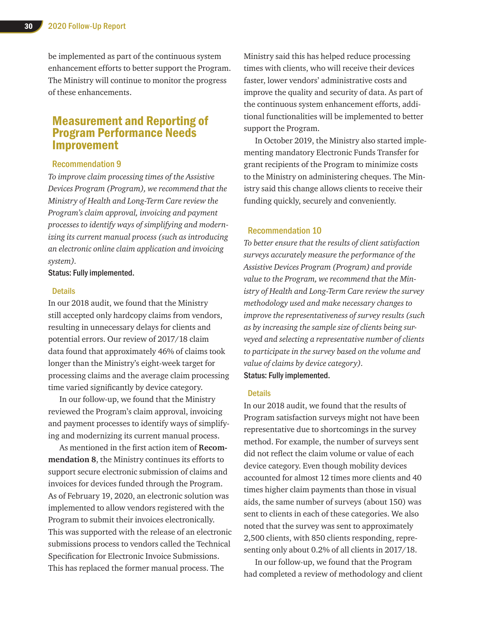be implemented as part of the continuous system enhancement efforts to better support the Program. The Ministry will continue to monitor the progress of these enhancements.

### Measurement and Reporting of Program Performance Needs Improvement

#### Recommendation 9

*To improve claim processing times of the Assistive Devices Program (Program), we recommend that the Ministry of Health and Long-Term Care review the Program's claim approval, invoicing and payment processes to identify ways of simplifying and modernizing its current manual process (such as introducing an electronic online claim application and invoicing system).* 

Status: Fully implemented.

#### **Details**

In our 2018 audit, we found that the Ministry still accepted only hardcopy claims from vendors, resulting in unnecessary delays for clients and potential errors. Our review of 2017/18 claim data found that approximately 46% of claims took longer than the Ministry's eight-week target for processing claims and the average claim processing time varied significantly by device category.

In our follow-up, we found that the Ministry reviewed the Program's claim approval, invoicing and payment processes to identify ways of simplifying and modernizing its current manual process.

As mentioned in the first action item of **Recommendation 8**, the Ministry continues its efforts to support secure electronic submission of claims and invoices for devices funded through the Program. As of February 19, 2020, an electronic solution was implemented to allow vendors registered with the Program to submit their invoices electronically. This was supported with the release of an electronic submissions process to vendors called the Technical Specification for Electronic Invoice Submissions. This has replaced the former manual process. The

Ministry said this has helped reduce processing times with clients, who will receive their devices faster, lower vendors' administrative costs and improve the quality and security of data. As part of the continuous system enhancement efforts, additional functionalities will be implemented to better support the Program.

In October 2019, the Ministry also started implementing mandatory Electronic Funds Transfer for grant recipients of the Program to minimize costs to the Ministry on administering cheques. The Ministry said this change allows clients to receive their funding quickly, securely and conveniently.

#### Recommendation 10

*To better ensure that the results of client satisfaction surveys accurately measure the performance of the Assistive Devices Program (Program) and provide value to the Program, we recommend that the Ministry of Health and Long-Term Care review the survey methodology used and make necessary changes to improve the representativeness of survey results (such as by increasing the sample size of clients being surveyed and selecting a representative number of clients to participate in the survey based on the volume and value of claims by device category).*  Status: Fully implemented.

#### **Details**

In our 2018 audit, we found that the results of Program satisfaction surveys might not have been representative due to shortcomings in the survey method. For example, the number of surveys sent did not reflect the claim volume or value of each device category. Even though mobility devices accounted for almost 12 times more clients and 40 times higher claim payments than those in visual aids, the same number of surveys (about 150) was sent to clients in each of these categories. We also noted that the survey was sent to approximately 2,500 clients, with 850 clients responding, representing only about 0.2% of all clients in 2017/18.

In our follow-up, we found that the Program had completed a review of methodology and client